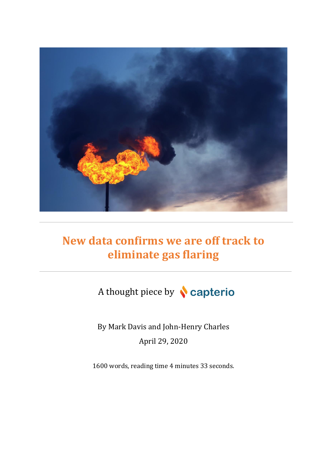

# **New data confirms we are off track to eliminate gas flaring**

A thought piece by **Capterio** 

By Mark Davis and John-Henry Charles April 29, 2020

1600 words, reading time 4 minutes 33 seconds.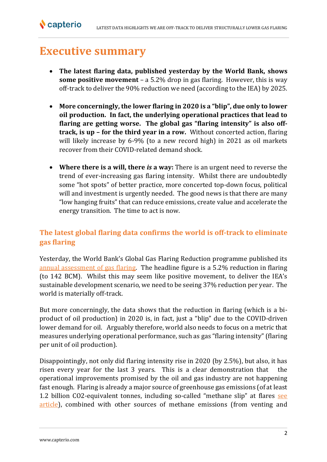## **Executive summary**

**N**capterio

- **The latest flaring data, published yesterday by the World Bank, shows some positive movement** – a 5.2% drop in gas flaring. However, this is way off-track to deliver the 90% reduction we need (according to the IEA) by 2025.
- **More concerningly, the lower flaring in 2020 is a "blip", due only to lower oil production. In fact, the underlying operational practices that lead to flaring are getting worse. The global gas "flaring intensity" is also offtrack, is up – for the third year in a row.** Without concerted action, flaring will likely increase by 6-9% (to a new record high) in 2021 as oil markets recover from their COVID-related demand shock.
- **Where there is a will, there** *is* **a way:** There is an urgent need to reverse the trend of ever-increasing gas flaring intensity. Whilst there are undoubtedly some "hot spots" of better practice, more concerted top-down focus, political will and investment is urgently needed. The good news is that there are many "low hanging fruits" that can reduce emissions, create value and accelerate the energy transition. The time to act is now.

## **The latest global flaring data confirms the world is off-track to eliminate gas flaring**

Yesterday, the World Bank's Global Gas Flaring Reduction programme published its [annual assessment of gas flaring.](https://thedocs.worldbank.org/en/doc/1f7221545bf1b7c89b850dd85cb409b0-0400072021/original/WB-GGFR-Report-Design-05a.pdf) The headline figure is a 5.2% reduction in flaring (to 142 BCM). Whilst this may seem like positive movement, to deliver the IEA's sustainable development scenario, we need to be seeing 37% reduction per year. The world is materially off-track.

But more concerningly, the data shows that the reduction in flaring (which is a biproduct of oil production) in 2020 is, in fact, just a "blip" due to the COVID-driven lower demand for oil. Arguably therefore, world also needs to focus on a metric that measures underlying operational performance, such as gas "flaring intensity" (flaring per unit of oil production).

Disappointingly, not only did flaring intensity rise in 2020 (by 2.5%), but also, it has risen every year for the last 3 years. This is a clear demonstration that the operational improvements promised by the oil and gas industry are not happening fast enough. Flaring is already a major source of greenhouse gas emissions (of at least 1.2 billion CO2-equivalent tonnes, including so-called "methane slip" at flares see [article\)](https://capterio.com/insights/2019-10-4-flarings-billion-tonne-methane-secret-an-under-estimated-opportunity-for-decarbonization-and-revenue-generation-in-oil-amp-gas-a-thought-piece-by-capterio), combined with other sources of methane emissions (from venting and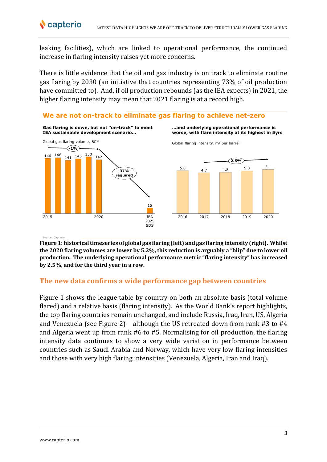leaking facilities), which are linked to operational performance, the continued increase in flaring intensity raises yet more concerns.

There is little evidence that the oil and gas industry is on track to eliminate routine gas flaring by 2030 (an initiative that countries representing 73% of oil production have committed to). And, if oil production rebounds (as the IEA expects) in 2021, the higher flaring intensity may mean that 2021 flaring is at a record high.



Source: Capterio

**Figure 1: historical timeseries of global gas flaring (left) and gas flaring intensity (right). Whilst the 2020 flaring volumes are lower by 5.2%, this reduction is arguably a "blip" due to lower oil production. The underlying operational performance metric "flaring intensity" has increased by 2.5%, and for the third year in a row.**

### **The new data confirms a wide performance gap between countries**

Figure 1 shows the league table by country on both an absolute basis (total volume flared) and a relative basis (flaring intensity). As the World Bank's report highlights, the top flaring countries remain unchanged, and include Russia, Iraq, Iran, US, Algeria and Venezuela (see Figure 2) – although the US retreated down from rank #3 to #4 and Algeria went up from rank #6 to #5. Normalising for oil production, the flaring intensity data continues to show a very wide variation in performance between countries such as Saudi Arabia and Norway, which have very low flaring intensities and those with very high flaring intensities (Venezuela, Algeria, Iran and Iraq).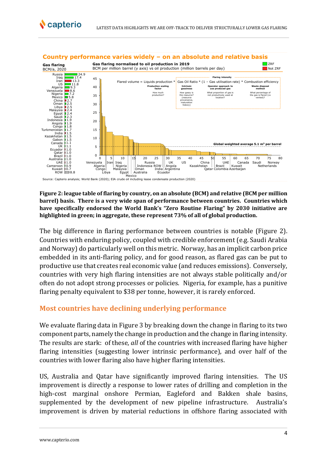![](_page_3_Figure_2.jpeg)

#### **Figure 2: league table of flaring by country, on an absolute (BCM) and relative (BCM per million barrel) basis. There is a very wide span of performance between countries. Countries which have specifically endorsed the World Bank's "Zero Routine Flaring" by 2030 initiative are highlighted in green; in aggregate, these represent 73% of all of global production.**

The big difference in flaring performance between countries is notable (Figure 2). Countries with enduring policy, coupled with credible enforcement (e.g. Saudi Arabia and Norway) do particularly well on this metric. Norway, has an implicit carbon price embedded in its anti-flaring policy, and for good reason, as flared gas can be put to productive use that creates real economic value (and reduces emissions). Conversely, countries with very high flaring intensities are not always stable politically and/or often do not adopt strong processes or policies. Nigeria, for example, has a punitive flaring penalty equivalent to \$38 per tonne, however, it is rarely enforced.

### **Most countries have declining underlying performance**

We evaluate flaring data in Figure 3 by breaking down the change in flaring to its two component parts, namely the change in production and the change in flaring intensity. The results are stark: of these, *all* of the countries with increased flaring have higher flaring intensities (suggesting lower intrinsic performance), and over half of the countries with lower flaring also have higher flaring intensities.

US, Australia and Qatar have significantly improved flaring intensities. The US improvement is directly a response to lower rates of drilling and completion in the high-cost marginal onshore Permian, Eagleford and Bakken shale basins, supplemented by the development of new pipeline infrastructure. Australia's improvement is driven by material reductions in offshore flaring associated with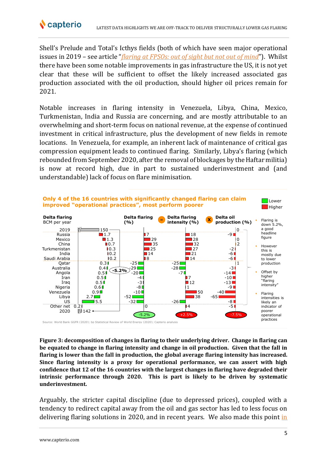![](_page_4_Picture_0.jpeg)

Shell's Prelude and Total's Icthys fields (both of which have seen major operational issues in 2019 – see article "*[flaring at FPSOs: out of sight but not out of mind](https://capterio.com/insights/flaring-at-fpsos-not-out-of-mind)*"). Whilst there have been some notable improvements in gas infrastructure the US, it is not yet clear that these will be sufficient to offset the likely increased associated gas production associated with the oil production, should higher oil prices remain for 2021.

Notable increases in flaring intensity in Venezuela, Libya, China, Mexico, Turkmenistan, India and Russia are concerning, and are mostly attributable to an overwhelming and short-term focus on national revenue, at the expense of continued investment in critical infrastructure, plus the development of new fields in remote locations. In Venezuela, for example, an inherent lack of maintenance of critical gas compression equipment leads to continued flaring. Similarly, Libya's flaring (which rebounded from September 2020, after the removal of blockages by the Haftar militia) is now at record high, due in part to sustained underinvestment and (and understandable) lack of focus on flare minimisation.

![](_page_4_Figure_4.jpeg)

**Figure 3: decomposition of changes in flaring to their underlying driver. Change in flaring can be equated to change in flaring intensity and change in oil production. Given that the fall in flaring is lower than the fall in production, the global average flaring intensity has increased. Since flaring intensity is a proxy for operational performance, we can assert with high confidence that 12 of the 16 countries with the largest changes in flaring have degraded their intrinsic performance through 2020. This is part is likely to be driven by systematic underinvestment.**

Arguably, the stricter capital discipline (due to depressed prices), coupled with a tendency to redirect capital away from the oil and gas sector has led to less focus on delivering flaring solutions in 2020, and in recent years. We also made this point [in](https://www.ft.com/content/2f6227db-c189-463c-8bf5-2c0d79bfcafc)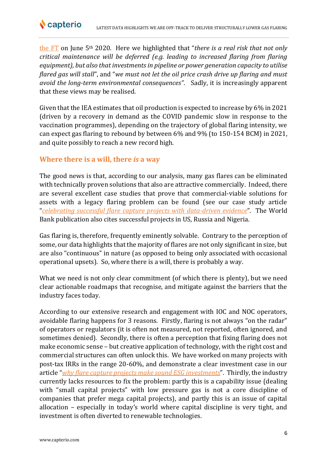![](_page_5_Picture_0.jpeg)

[the FT](https://www.ft.com/content/2f6227db-c189-463c-8bf5-2c0d79bfcafc) on June 5th 2020. Here we highlighted that "*there is a real risk that not only critical maintenance will be deferred (e.g. leading to increased flaring from flaring equipment), but also that investments in pipeline or power generation capacity to utilise flared gas will stall*", and "*we must not let the oil price crash drive up flaring and must avoid the long-term environmental consequences"*. Sadly, it is increasingly apparent that these views may be realised.

Given that the IEA estimates that oil production is expected to increase by 6% in 2021 (driven by a recovery in demand as the COVID pandemic slow in response to the vaccination programmes), depending on the trajectory of global flaring intensity, we can expect gas flaring to rebound by between 6% and 9% (to 150-154 BCM) in 2021, and quite possibly to reach a new record high.

## **Where there is a will, there** *is* **a way**

The good news is that, according to our analysis, many gas flares can be eliminated with technically proven solutions that also are attractive commercially. Indeed, there are several excellent case studies that prove that commercial-viable solutions for assets with a legacy flaring problem can be found (see our case study article "*[celebrating successful flare capture projects with data-driven evidence](https://capterio.com/insights/celebrating-successful-flare-capture-projects-with-independent-data-driven-evidence)*". The World Bank publication also cites successful projects in US, Russia and Nigeria.

Gas flaring is, therefore, frequently eminently solvable. Contrary to the perception of some, our data highlights that the majority of flares are not only significant in size, but are also "continuous" in nature (as opposed to being only associated with occasional operational upsets). So, where there is a will, there is probably a way.

What we need is not only clear commitment (of which there is plenty), but we need clear actionable roadmaps that recognise, and mitigate against the barriers that the industry faces today.

According to our extensive research and engagement with IOC and NOC operators, avoidable flaring happens for 3 reasons. Firstly, flaring is not always "on the radar" of operators or regulators (it is often not measured, not reported, often ignored, and sometimes denied). Secondly, there is often a perception that fixing flaring does not make economic sense – but creative application of technology, with the right cost and commercial structures can often unlock this. We have worked on many projects with post-tax IRRs in the range 20-60%, and demonstrate a clear investment case in our article "*[why flare capture projects make sound ESG investments](https://capterio.com/insights/why-flare-capture-projects-make-sound-esg-investments)*". Thirdly, the industry currently lacks resources to fix the problem: partly this is a capability issue (dealing with "small capital projects" with low pressure gas is not a core discipline of companies that prefer mega capital projects), and partly this is an issue of capital allocation – especially in today's world where capital discipline is very tight, and investment is often diverted to renewable technologies.